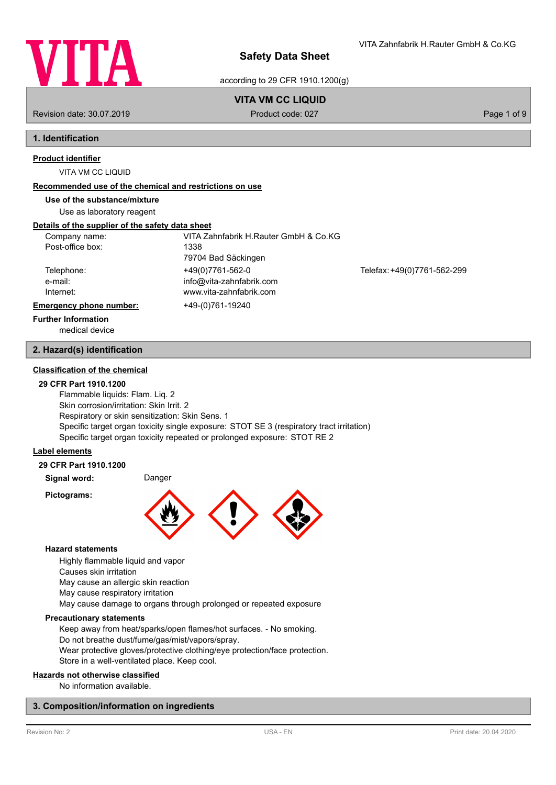

VITA Zahnfabrik H.Rauter GmbH & Co.KG

according to 29 CFR 1910.1200(g)

# **VITA VM CC LIQUID**

Revision date: 30.07.2019 **Product code: 027** Product code: 027 **Page 1 of 9** Page 1 of 9

# **1. Identification**

# **Product identifier**

VITA VM CC LIQUID

## **Recommended use of the chemical and restrictions on use**

## **Use of the substance/mixture**

Use as laboratory reagent

## **Details of the supplier of the safety data sheet**

| Company name:                  | VITA Zahnfabrik H.Rauter GmbH & Co.KG               |                             |
|--------------------------------|-----------------------------------------------------|-----------------------------|
| Post-office box:               | 1338<br>79704 Bad Säckingen                         |                             |
| Telephone:                     | +49(0)7761-562-0                                    | Telefax: +49(0)7761-562-299 |
| e-mail:<br>Internet:           | info@vita-zahnfabrik.com<br>www.vita-zahnfabrik.com |                             |
| <b>Emergency phone number:</b> | +49-(0)761-19240                                    |                             |
| <b>Further Information</b>     |                                                     |                             |

medical device

## **2. Hazard(s) identification**

## **Classification of the chemical**

## **29 CFR Part 1910.1200**

Flammable liquids: Flam. Liq. 2 Skin corrosion/irritation: Skin Irrit. 2 Respiratory or skin sensitization: Skin Sens. 1 Specific target organ toxicity single exposure: STOT SE 3 (respiratory tract irritation) Specific target organ toxicity repeated or prolonged exposure: STOT RE 2

## **Label elements**

## **29 CFR Part 1910.1200**

**Signal word:** Danger

**Pictograms:**



## **Hazard statements**

Highly flammable liquid and vapor

Causes skin irritation

May cause an allergic skin reaction

May cause respiratory irritation

May cause damage to organs through prolonged or repeated exposure

## **Precautionary statements**

Keep away from heat/sparks/open flames/hot surfaces. - No smoking. Do not breathe dust/fume/gas/mist/vapors/spray.

Wear protective gloves/protective clothing/eye protection/face protection. Store in a well-ventilated place. Keep cool.

## **Hazards not otherwise classified**

No information available.

## **3. Composition/information on ingredients**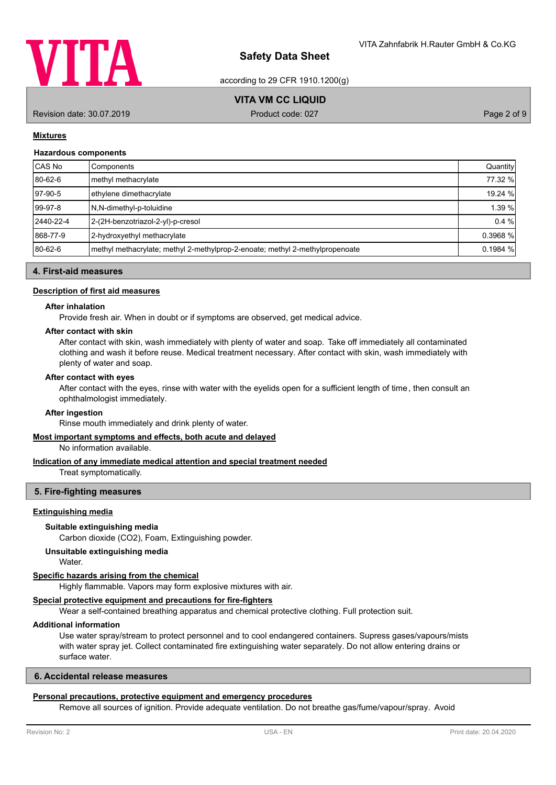

according to 29 CFR 1910.1200(g)

# **VITA VM CC LIQUID**

Revision date: 30.07.2019 Product code: 027 Product code: 027 Page 2 of 9

## **Mixtures**

#### **Hazardous components**

| CAS No    | Components                                                                    | Quantity |
|-----------|-------------------------------------------------------------------------------|----------|
| 80-62-6   | methyl methacrylate                                                           | 77.32 %  |
| 97-90-5   | ethylene dimethacrylate                                                       | 19.24 %  |
| $99-97-8$ | N,N-dimethyl-p-toluidine                                                      | 1.39 %   |
| 2440-22-4 | 2-(2H-benzotriazol-2-yl)-p-cresol                                             | 0.4%     |
| 868-77-9  | 2-hydroxyethyl methacrylate                                                   | 0.3968 % |
| 80-62-6   | Imethyl methacrylate; methyl 2-methylprop-2-enoate; methyl 2-methylpropenoate | 0.1984%  |

## **4. First-aid measures**

### **Description of first aid measures**

## **After inhalation**

Provide fresh air. When in doubt or if symptoms are observed, get medical advice.

## **After contact with skin**

After contact with skin, wash immediately with plenty of water and soap. Take off immediately all contaminated clothing and wash it before reuse. Medical treatment necessary. After contact with skin, wash immediately with plenty of water and soap.

#### **After contact with eyes**

After contact with the eyes, rinse with water with the eyelids open for a sufficient length of time, then consult an ophthalmologist immediately.

#### **After ingestion**

Rinse mouth immediately and drink plenty of water.

## **Most important symptoms and effects, both acute and delayed**

No information available.

#### **Indication of any immediate medical attention and special treatment needed**

Treat symptomatically.

## **5. Fire-fighting measures**

### **Extinguishing media**

## **Suitable extinguishing media**

Carbon dioxide (CO2), Foam, Extinguishing powder.

#### **Unsuitable extinguishing media**

Water.

#### **Specific hazards arising from the chemical**

Highly flammable. Vapors may form explosive mixtures with air.

# **Special protective equipment and precautions for fire-fighters**

Wear a self-contained breathing apparatus and chemical protective clothing. Full protection suit.

### **Additional information**

Use water spray/stream to protect personnel and to cool endangered containers. Supress gases/vapours/mists with water spray jet. Collect contaminated fire extinguishing water separately. Do not allow entering drains or surface water.

## **6. Accidental release measures**

#### **Personal precautions, protective equipment and emergency procedures**

Remove all sources of ignition. Provide adequate ventilation. Do not breathe gas/fume/vapour/spray. Avoid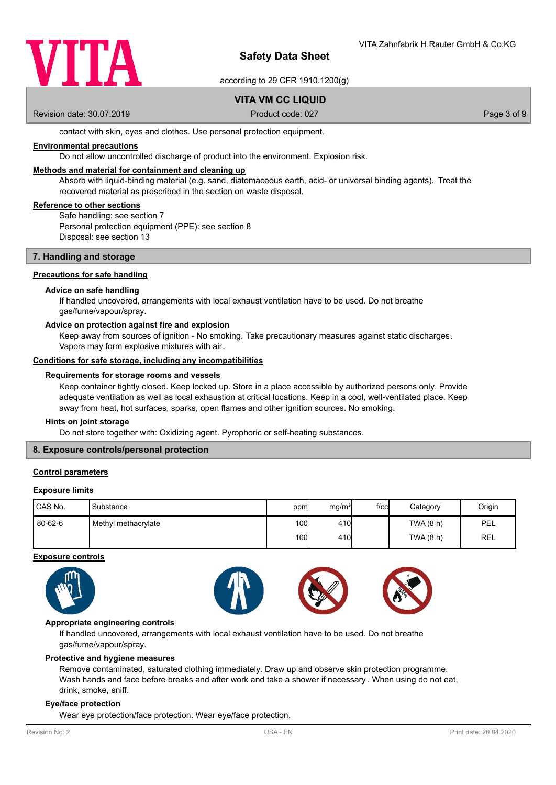

according to 29 CFR 1910.1200(g)

# **VITA VM CC LIQUID**

Revision date: 30.07.2019 **Product code: 027** Product code: 027 **Page 3 of 9** Page 3 of 9

contact with skin, eyes and clothes. Use personal protection equipment.

## **Environmental precautions**

Do not allow uncontrolled discharge of product into the environment. Explosion risk.

## **Methods and material for containment and cleaning up**

Absorb with liquid-binding material (e.g. sand, diatomaceous earth, acid- or universal binding agents). Treat the recovered material as prescribed in the section on waste disposal.

## **Reference to other sections**

Safe handling: see section 7 Personal protection equipment (PPE): see section 8 Disposal: see section 13

## **7. Handling and storage**

## **Precautions for safe handling**

## **Advice on safe handling**

If handled uncovered, arrangements with local exhaust ventilation have to be used. Do not breathe gas/fume/vapour/spray.

#### **Advice on protection against fire and explosion**

Keep away from sources of ignition - No smoking. Take precautionary measures against static discharges. Vapors may form explosive mixtures with air.

#### **Conditions for safe storage, including any incompatibilities**

#### **Requirements for storage rooms and vessels**

Keep container tightly closed. Keep locked up. Store in a place accessible by authorized persons only. Provide adequate ventilation as well as local exhaustion at critical locations. Keep in a cool, well-ventilated place. Keep away from heat, hot surfaces, sparks, open flames and other ignition sources. No smoking.

#### **Hints on joint storage**

Do not store together with: Oxidizing agent. Pyrophoric or self-heating substances.

## **8. Exposure controls/personal protection**

## **Control parameters**

### **Exposure limits**

| CAS No. | 'Substance          | ppm              | mg/m <sup>3</sup> | $f$ / $c$ c | Category  | Origin |
|---------|---------------------|------------------|-------------------|-------------|-----------|--------|
| 80-62-6 | Methyl methacrylate | 100l             | 410               |             | TWA (8 h) | PEL    |
|         |                     | 100 <sup>1</sup> | 410               |             | TWA(8 h)  | REL    |

#### **Exposure controls**





## **Appropriate engineering controls**

If handled uncovered, arrangements with local exhaust ventilation have to be used. Do not breathe gas/fume/vapour/spray.

#### **Protective and hygiene measures**

Remove contaminated, saturated clothing immediately. Draw up and observe skin protection programme. Wash hands and face before breaks and after work and take a shower if necessary . When using do not eat, drink, smoke, sniff.

## **Eye/face protection**

Wear eye protection/face protection. Wear eye/face protection.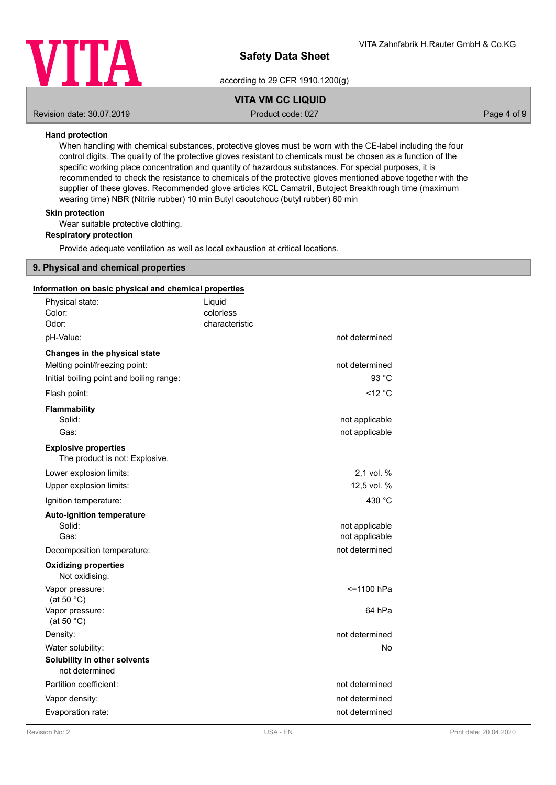

according to 29 CFR 1910.1200(g)

# **VITA VM CC LIQUID**

Revision date: 30.07.2019 **Product code: 027** Product code: 027 **Page 4 of 9** Page 4 of 9

## **Hand protection**

When handling with chemical substances, protective gloves must be worn with the CE-label including the four control digits. The quality of the protective gloves resistant to chemicals must be chosen as a function of the specific working place concentration and quantity of hazardous substances. For special purposes, it is recommended to check the resistance to chemicals of the protective gloves mentioned above together with the supplier of these gloves. Recommended glove articles KCL Camatril, Butoject Breakthrough time (maximum wearing time) NBR (Nitrile rubber) 10 min Butyl caoutchouc (butyl rubber) 60 min

## **Skin protection**

Wear suitable protective clothing.

## **Respiratory protection**

Provide adequate ventilation as well as local exhaustion at critical locations.

## **9. Physical and chemical properties**

## **Information on basic physical and chemical properties**

| Physical state:<br>Color:<br>Odor:                                                                         | Liquid<br>colorless<br>characteristic |                                  |
|------------------------------------------------------------------------------------------------------------|---------------------------------------|----------------------------------|
| pH-Value:                                                                                                  |                                       | not determined                   |
| Changes in the physical state<br>Melting point/freezing point:<br>Initial boiling point and boiling range: |                                       | not determined<br>93 °C          |
| Flash point:                                                                                               |                                       | $<$ 12 $^{\circ}$ C              |
| <b>Flammability</b><br>Solid:<br>Gas:                                                                      |                                       | not applicable<br>not applicable |
| <b>Explosive properties</b><br>The product is not: Explosive.                                              |                                       |                                  |
| Lower explosion limits:                                                                                    |                                       | 2.1 vol. %                       |
| Upper explosion limits:                                                                                    |                                       | 12,5 vol. %                      |
| Ignition temperature:                                                                                      |                                       | 430 °C                           |
| <b>Auto-ignition temperature</b><br>Solid:<br>Gas:                                                         |                                       | not applicable<br>not applicable |
| Decomposition temperature:                                                                                 |                                       | not determined                   |
| <b>Oxidizing properties</b><br>Not oxidising.                                                              |                                       |                                  |
| Vapor pressure:<br>(at 50 $°C$ )                                                                           |                                       | <=1100 hPa                       |
| Vapor pressure:<br>(at 50 $^{\circ}$ C)                                                                    |                                       | 64 hPa                           |
| Density:                                                                                                   |                                       | not determined                   |
| Water solubility:                                                                                          |                                       | <b>No</b>                        |
| Solubility in other solvents<br>not determined                                                             |                                       |                                  |
| Partition coefficient:                                                                                     |                                       | not determined                   |
| Vapor density:                                                                                             |                                       | not determined                   |
| Evaporation rate:                                                                                          |                                       | not determined                   |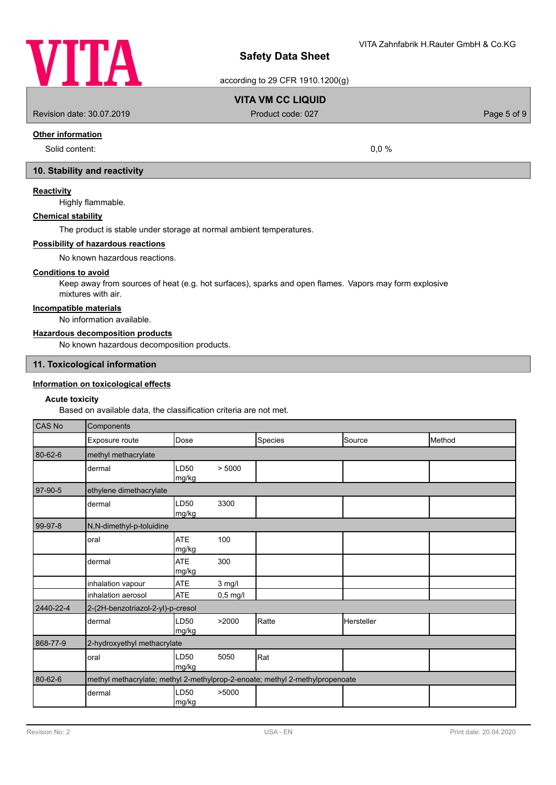

according to 29 CFR 1910.1200(g)

# **VITA VM CC LIQUID**

Revision date: 30.07.2019 **Product code: 027** Product code: 027 **Page 5 of 9** 

# **Other information**

Solid content: 0.0 %

# **10. Stability and reactivity**

## **Reactivity**

Highly flammable.

## **Chemical stability**

The product is stable under storage at normal ambient temperatures.

#### **Possibility of hazardous reactions**

No known hazardous reactions.

## **Conditions to avoid**

Keep away from sources of heat (e.g. hot surfaces), sparks and open flames. Vapors may form explosive mixtures with air.

## **Incompatible materials**

No information available.

## **Hazardous decomposition products**

No known hazardous decomposition products.

## **11. Toxicological information**

## **Information on toxicological effects**

### **Acute toxicity**

Based on available data, the classification criteria are not met.

| <b>CAS No</b> | Components                                                                   |                     |            |         |            |        |
|---------------|------------------------------------------------------------------------------|---------------------|------------|---------|------------|--------|
|               | Exposure route                                                               | Dose                |            | Species | Source     | Method |
| $80 - 62 - 6$ | methyl methacrylate                                                          |                     |            |         |            |        |
|               | dermal                                                                       | LD50<br>mg/kg       | > 5000     |         |            |        |
| 97-90-5       | ethylene dimethacrylate                                                      |                     |            |         |            |        |
|               | dermal                                                                       | LD50<br>mg/kg       | 3300       |         |            |        |
| 99-97-8       | N,N-dimethyl-p-toluidine                                                     |                     |            |         |            |        |
|               | oral                                                                         | <b>ATE</b><br>mg/kg | 100        |         |            |        |
|               | dermal                                                                       | <b>ATE</b><br>mg/kg | 300        |         |            |        |
|               | inhalation vapour                                                            | <b>ATE</b>          | 3 mg/l     |         |            |        |
|               | inhalation aerosol                                                           | <b>ATE</b>          | $0,5$ mg/l |         |            |        |
| 2440-22-4     | 2-(2H-benzotriazol-2-yl)-p-cresol                                            |                     |            |         |            |        |
|               | dermal                                                                       | LD50<br>mg/kg       | >2000      | Ratte   | Hersteller |        |
| 868-77-9      | 2-hydroxyethyl methacrylate                                                  |                     |            |         |            |        |
|               | oral                                                                         | LD50<br>mg/kg       | 5050       | Rat     |            |        |
| 80-62-6       | methyl methacrylate; methyl 2-methylprop-2-enoate; methyl 2-methylpropenoate |                     |            |         |            |        |
|               | dermal                                                                       | LD50<br>mg/kg       | >5000      |         |            |        |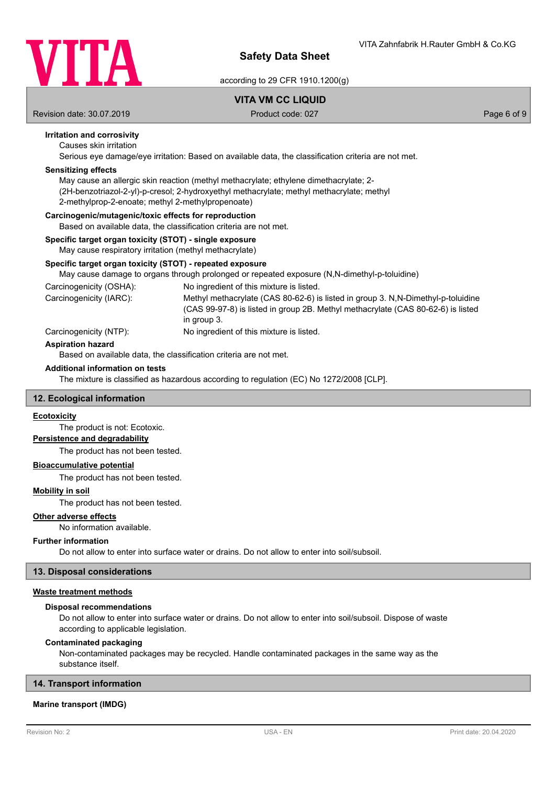

according to 29 CFR 1910.1200(g)

# **VITA VM CC LIQUID**

Revision date: 30.07.2019 **Product code: 027** Product code: 027 **Page 6 of 9** Page 6 of 9

## **Irritation and corrosivity**

Causes skin irritation

Serious eye damage/eye irritation: Based on available data, the classification criteria are not met.

## **Sensitizing effects**

May cause an allergic skin reaction (methyl methacrylate; ethylene dimethacrylate; 2- (2H-benzotriazol-2-yl)-p-cresol; 2-hydroxyethyl methacrylate; methyl methacrylate; methyl 2-methylprop-2-enoate; methyl 2-methylpropenoate)

#### **Carcinogenic/mutagenic/toxic effects for reproduction**

Based on available data, the classification criteria are not met.

# **Specific target organ toxicity (STOT) - single exposure**

May cause respiratory irritation (methyl methacrylate)

## **Specific target organ toxicity (STOT) - repeated exposure**

May cause damage to organs through prolonged or repeated exposure (N,N-dimethyl-p-toluidine)

Carcinogenicity (OSHA): No ingredient of this mixture is listed. Methyl methacrylate (CAS 80-62-6) is listed in group 3. N.N-Dimethyl-p-toluidine (CAS 99-97-8) is listed in group 2B. Methyl methacrylate (CAS 80-62-6) is listed in group 3. Carcinogenicity (IARC): Carcinogenicity (NTP): No ingredient of this mixture is listed.

### **Aspiration hazard**

Based on available data, the classification criteria are not met.

#### **Additional information on tests**

The mixture is classified as hazardous according to regulation (EC) No 1272/2008 [CLP].

### **12. Ecological information**

## **Ecotoxicity**

The product is not: Ecotoxic.

# **Persistence and degradability**

The product has not been tested.

## **Bioaccumulative potential**

The product has not been tested.

## **Mobility in soil**

The product has not been tested.

#### **Other adverse effects**

No information available.

#### **Further information**

Do not allow to enter into surface water or drains. Do not allow to enter into soil/subsoil.

### **13. Disposal considerations**

## **Waste treatment methods**

#### **Disposal recommendations**

Do not allow to enter into surface water or drains. Do not allow to enter into soil/subsoil. Dispose of waste according to applicable legislation.

#### **Contaminated packaging**

Non-contaminated packages may be recycled. Handle contaminated packages in the same way as the substance itself.

#### **14. Transport information**

## **Marine transport (IMDG)**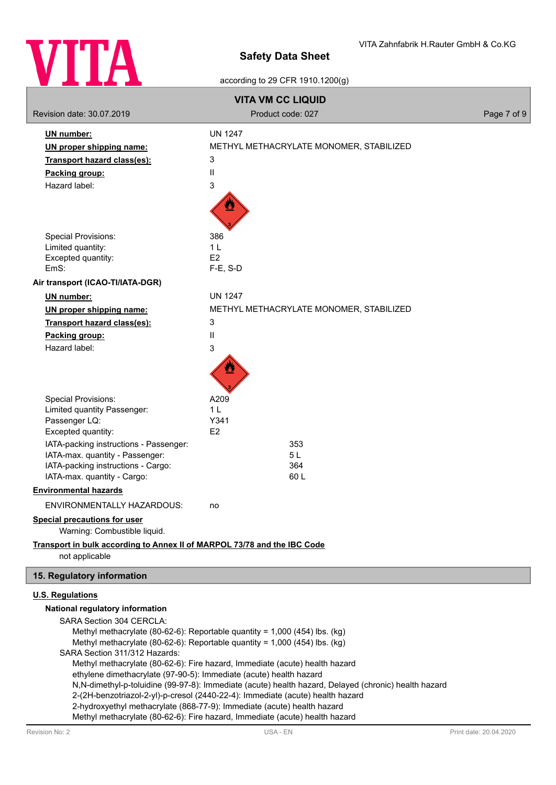

## according to 29 CFR 1910.1200(g)

| <b>VITA VM CC LIQUID</b>                                                                                                                                           |                                                                                                                                                                                                                                                                                                                                                                                                                                   |             |  |  |  |
|--------------------------------------------------------------------------------------------------------------------------------------------------------------------|-----------------------------------------------------------------------------------------------------------------------------------------------------------------------------------------------------------------------------------------------------------------------------------------------------------------------------------------------------------------------------------------------------------------------------------|-------------|--|--|--|
| Revision date: 30.07.2019                                                                                                                                          | Product code: 027                                                                                                                                                                                                                                                                                                                                                                                                                 | Page 7 of 9 |  |  |  |
| UN number:<br>UN proper shipping name:<br><b>Transport hazard class(es):</b><br>Packing group:<br>Hazard label:<br><b>Special Provisions:</b>                      | <b>UN 1247</b><br>METHYL METHACRYLATE MONOMER, STABILIZED<br>3<br>Ш<br>3<br>386                                                                                                                                                                                                                                                                                                                                                   |             |  |  |  |
| Limited quantity:<br>Excepted quantity:                                                                                                                            | 1 <sub>L</sub><br>E <sub>2</sub>                                                                                                                                                                                                                                                                                                                                                                                                  |             |  |  |  |
| EmS:                                                                                                                                                               | $F-E$ , S-D                                                                                                                                                                                                                                                                                                                                                                                                                       |             |  |  |  |
| Air transport (ICAO-TI/IATA-DGR)                                                                                                                                   |                                                                                                                                                                                                                                                                                                                                                                                                                                   |             |  |  |  |
| <b>UN number:</b>                                                                                                                                                  | <b>UN 1247</b>                                                                                                                                                                                                                                                                                                                                                                                                                    |             |  |  |  |
| UN proper shipping name:                                                                                                                                           | METHYL METHACRYLATE MONOMER, STABILIZED                                                                                                                                                                                                                                                                                                                                                                                           |             |  |  |  |
| <b>Transport hazard class(es):</b>                                                                                                                                 | 3                                                                                                                                                                                                                                                                                                                                                                                                                                 |             |  |  |  |
| Packing group:                                                                                                                                                     | Ш                                                                                                                                                                                                                                                                                                                                                                                                                                 |             |  |  |  |
| Hazard label:                                                                                                                                                      | 3                                                                                                                                                                                                                                                                                                                                                                                                                                 |             |  |  |  |
| <b>Special Provisions:</b>                                                                                                                                         | A209<br>1 <sub>L</sub>                                                                                                                                                                                                                                                                                                                                                                                                            |             |  |  |  |
| Limited quantity Passenger:<br>Passenger LQ:                                                                                                                       | Y341                                                                                                                                                                                                                                                                                                                                                                                                                              |             |  |  |  |
| Excepted quantity:                                                                                                                                                 | E2                                                                                                                                                                                                                                                                                                                                                                                                                                |             |  |  |  |
| IATA-packing instructions - Passenger:                                                                                                                             | 353                                                                                                                                                                                                                                                                                                                                                                                                                               |             |  |  |  |
| IATA-max. quantity - Passenger:<br>IATA-packing instructions - Cargo:                                                                                              | 5L<br>364                                                                                                                                                                                                                                                                                                                                                                                                                         |             |  |  |  |
| IATA-max. quantity - Cargo:                                                                                                                                        | 60 L                                                                                                                                                                                                                                                                                                                                                                                                                              |             |  |  |  |
| <b>Environmental hazards</b>                                                                                                                                       |                                                                                                                                                                                                                                                                                                                                                                                                                                   |             |  |  |  |
| ENVIRONMENTALLY HAZARDOUS:                                                                                                                                         | no                                                                                                                                                                                                                                                                                                                                                                                                                                |             |  |  |  |
| <b>Special precautions for user</b><br>Warning: Combustible liquid.                                                                                                |                                                                                                                                                                                                                                                                                                                                                                                                                                   |             |  |  |  |
| Transport in bulk according to Annex II of MARPOL 73/78 and the IBC Code<br>not applicable                                                                         |                                                                                                                                                                                                                                                                                                                                                                                                                                   |             |  |  |  |
| 15. Regulatory information                                                                                                                                         |                                                                                                                                                                                                                                                                                                                                                                                                                                   |             |  |  |  |
| <b>U.S. Regulations</b>                                                                                                                                            |                                                                                                                                                                                                                                                                                                                                                                                                                                   |             |  |  |  |
| National regulatory information<br>SARA Section 304 CERCLA:<br>SARA Section 311/312 Hazards:<br>ethylene dimethacrylate (97-90-5): Immediate (acute) health hazard | Methyl methacrylate (80-62-6): Reportable quantity = 1,000 (454) lbs. (kg)<br>Methyl methacrylate (80-62-6): Reportable quantity = 1,000 (454) lbs. (kg)<br>Methyl methacrylate (80-62-6): Fire hazard, Immediate (acute) health hazard<br>N,N-dimethyl-p-toluidine (99-97-8): Immediate (acute) health hazard, Delayed (chronic) health hazard<br>2-(2H-benzotriazol-2-yl)-p-cresol (2440-22-4): Immediate (acute) health hazard |             |  |  |  |

2-hydroxyethyl methacrylate (868-77-9): Immediate (acute) health hazard

Methyl methacrylate (80-62-6): Fire hazard, Immediate (acute) health hazard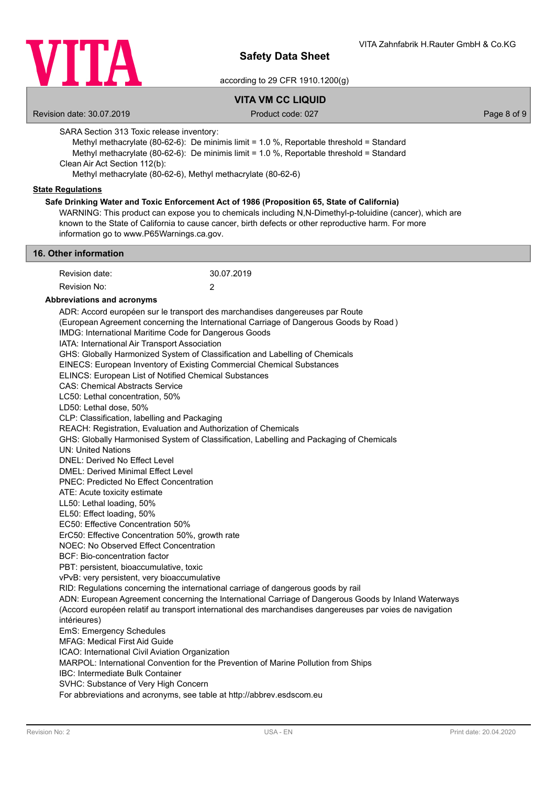

according to 29 CFR 1910.1200(g)

# **VITA VM CC LIQUID**

Revision date: 30.07.2019 **Product code: 027** Product code: 027 **Page 8 of 9** Page 8 of 9

SARA Section 313 Toxic release inventory:

Methyl methacrylate (80-62-6): De minimis limit = 1.0 %, Reportable threshold = Standard Methyl methacrylate (80-62-6): De minimis limit = 1.0 %, Reportable threshold = Standard Clean Air Act Section 112(b):

Methyl methacrylate (80-62-6), Methyl methacrylate (80-62-6)

### **State Regulations**

## **Safe Drinking Water and Toxic Enforcement Act of 1986 (Proposition 65, State of California)**

WARNING: This product can expose you to chemicals including N,N-Dimethyl-p-toluidine (cancer), which are known to the State of California to cause cancer, birth defects or other reproductive harm. For more information go to www.P65Warnings.ca.gov.

#### **16. Other information**

| Revision date: | 30.07.2019 |
|----------------|------------|
| Revision No:   |            |

#### **Abbreviations and acronyms**

ADR: Accord européen sur le transport des marchandises dangereuses par Route (European Agreement concerning the International Carriage of Dangerous Goods by Road ) IMDG: International Maritime Code for Dangerous Goods IATA: International Air Transport Association GHS: Globally Harmonized System of Classification and Labelling of Chemicals EINECS: European Inventory of Existing Commercial Chemical Substances ELINCS: European List of Notified Chemical Substances CAS: Chemical Abstracts Service LC50: Lethal concentration, 50% LD50: Lethal dose, 50% CLP: Classification, labelling and Packaging REACH: Registration, Evaluation and Authorization of Chemicals GHS: Globally Harmonised System of Classification, Labelling and Packaging of Chemicals UN: United Nations DNEL: Derived No Effect Level DMEL: Derived Minimal Effect Level PNEC: Predicted No Effect Concentration ATE: Acute toxicity estimate LL50: Lethal loading, 50% EL50: Effect loading, 50% EC50: Effective Concentration 50% ErC50: Effective Concentration 50%, growth rate NOEC: No Observed Effect Concentration BCF: Bio-concentration factor PBT: persistent, bioaccumulative, toxic vPvB: very persistent, very bioaccumulative RID: Regulations concerning the international carriage of dangerous goods by rail ADN: European Agreement concerning the International Carriage of Dangerous Goods by Inland Waterways (Accord européen relatif au transport international des marchandises dangereuses par voies de navigation intérieures) EmS: Emergency Schedules MFAG: Medical First Aid Guide ICAO: International Civil Aviation Organization MARPOL: International Convention for the Prevention of Marine Pollution from Ships IBC: Intermediate Bulk Container SVHC: Substance of Very High Concern For abbreviations and acronyms, see table at http://abbrev.esdscom.eu